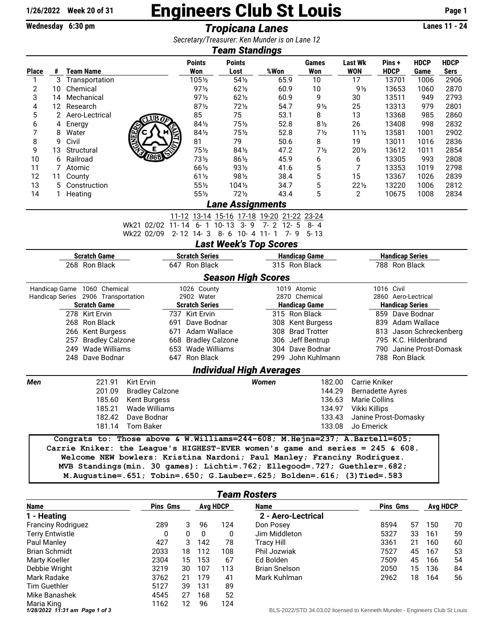## 1/26/2022 Week 20 of 31 **Engineers Club St Louis** Page 1<br>Wednesday 6:30 pm<br>**Tropicana Lanes Page 1**

**Wednesday 6:30 pm** *Tropicana Lanes Constant Creasurer: Ken Munder is an 1 ano 12* 

| Secretary/Treasurer: Ken Munder is on Lane 12<br>Team Standings                |                               |                                                                                                                                                                                                                                                                                                                                                                                                 |                       |                      |                           |                                               |                                |                         |                                         |                     |                            |  |  |
|--------------------------------------------------------------------------------|-------------------------------|-------------------------------------------------------------------------------------------------------------------------------------------------------------------------------------------------------------------------------------------------------------------------------------------------------------------------------------------------------------------------------------------------|-----------------------|----------------------|---------------------------|-----------------------------------------------|--------------------------------|-------------------------|-----------------------------------------|---------------------|----------------------------|--|--|
| <b>Place</b>                                                                   | #                             | <b>Team Name</b>                                                                                                                                                                                                                                                                                                                                                                                |                       | <b>Points</b><br>Won | <b>Points</b><br>Lost     | %Won                                          | <b>Games</b><br>Won            | Last Wk<br><b>WON</b>   | Pins+<br><b>HDCP</b>                    | <b>HDCP</b><br>Game | <b>HDCP</b><br><b>Sers</b> |  |  |
| 1                                                                              | 3                             | Transportation                                                                                                                                                                                                                                                                                                                                                                                  |                       | 1051/2               | 541/2                     | 65.9                                          | 10                             | 17                      | 13701                                   | 1006                | 2906                       |  |  |
| 2                                                                              | 10                            | Chemical                                                                                                                                                                                                                                                                                                                                                                                        |                       | $97\frac{1}{2}$      | $62\frac{1}{2}$           | 60.9                                          | 10                             | $9\frac{1}{2}$          | 13653                                   | 1060                | 2870                       |  |  |
| 3                                                                              | 14                            | Mechanical                                                                                                                                                                                                                                                                                                                                                                                      |                       | $97\frac{1}{2}$      | $62\frac{1}{2}$           | 60.9                                          | 9                              | 30                      | 13511                                   | 949                 | 2793                       |  |  |
| 4                                                                              | 12                            | Research                                                                                                                                                                                                                                                                                                                                                                                        |                       | $87\frac{1}{2}$      | $72\frac{1}{2}$           | 54.7                                          | 9 <sub>2</sub>                 | 25                      | 13313                                   | 979                 | 2801                       |  |  |
| 5                                                                              | 2                             | Aero-Lectrical<br>$\sqrt{\text{UB0}}$                                                                                                                                                                                                                                                                                                                                                           |                       |                      | 75                        | 53.1                                          | 8                              | 13                      | 13368                                   | 985                 | 2860                       |  |  |
| 6                                                                              | 4                             | Energy                                                                                                                                                                                                                                                                                                                                                                                          | 841/2                 | 751/2                | 52.8                      | $8\frac{1}{2}$                                | 26                             | 13408                   | 998                                     | 2832                |                            |  |  |
| 7                                                                              | 8                             | Water                                                                                                                                                                                                                                                                                                                                                                                           | 84½                   | $75\frac{1}{2}$      | 52.8                      | 7 <sub>2</sub>                                | $11\frac{1}{2}$                | 13581                   | 1001                                    | 2902                |                            |  |  |
| 8                                                                              | 9                             | Civil                                                                                                                                                                                                                                                                                                                                                                                           |                       | 81                   | 79                        | 50.6                                          | 8                              | 19                      | 13011                                   | 1016                | 2836                       |  |  |
| 9                                                                              | 13                            | Structural                                                                                                                                                                                                                                                                                                                                                                                      |                       | 751/2                | 841/2                     | 47.2                                          | 7 <sub>2</sub>                 | $20\frac{1}{2}$         | 13612                                   | 1011                | 2854                       |  |  |
| 10                                                                             | 6                             | Railroad                                                                                                                                                                                                                                                                                                                                                                                        |                       | 73½                  | 861/2                     | 45.9                                          | 6                              | 6                       | 13305                                   | 993                 | 2808                       |  |  |
| 11                                                                             | 7                             | Atomic                                                                                                                                                                                                                                                                                                                                                                                          |                       | 661/2                | $93\frac{1}{2}$           | 41.6                                          | 5                              | 7                       | 13353                                   | 1019                | 2798                       |  |  |
| 12                                                                             | 11                            | County                                                                                                                                                                                                                                                                                                                                                                                          |                       | $61\frac{1}{2}$      | 981/2                     | 38.4                                          | 5                              | 15                      | 13367                                   | 1026                | 2839                       |  |  |
| 13                                                                             | 5                             | Construction                                                                                                                                                                                                                                                                                                                                                                                    |                       | 551/2                | 1041/2                    | 34.7                                          | 5                              | $22\frac{1}{2}$         | 13220                                   | 1006                | 2812                       |  |  |
| 14                                                                             | 1.                            | Heating                                                                                                                                                                                                                                                                                                                                                                                         |                       | 551/2                | $72\frac{1}{2}$           | 43.4                                          | 5                              | 2                       | 10675                                   | 1008                | 2834                       |  |  |
|                                                                                |                               |                                                                                                                                                                                                                                                                                                                                                                                                 |                       |                      | <b>Lane Assignments</b>   |                                               |                                |                         |                                         |                     |                            |  |  |
| 11-12 13-14 15-16 17-18 19-20 21-22 23-24<br>Wk21 02/02 11-14 6-1 10-13        |                               |                                                                                                                                                                                                                                                                                                                                                                                                 |                       |                      |                           |                                               |                                |                         |                                         |                     |                            |  |  |
|                                                                                |                               | Wk22 02/09                                                                                                                                                                                                                                                                                                                                                                                      |                       |                      | $3 - 9$                   | $7 - 2$ 12 - 5<br>2-12 14-3 8-6 10-4 11-1 7-9 | $8 - 4$                        |                         |                                         |                     |                            |  |  |
|                                                                                |                               |                                                                                                                                                                                                                                                                                                                                                                                                 |                       |                      |                           | <b>Last Week's Top Scores</b>                 | - 5- 13                        |                         |                                         |                     |                            |  |  |
|                                                                                |                               |                                                                                                                                                                                                                                                                                                                                                                                                 |                       |                      |                           |                                               |                                |                         |                                         |                     |                            |  |  |
| <b>Scratch Game</b><br><b>Scratch Series</b><br>268 Ron Black<br>647 Ron Black |                               |                                                                                                                                                                                                                                                                                                                                                                                                 |                       |                      |                           | <b>Handicap Game</b><br>315 Ron Black         |                                |                         | <b>Handicap Series</b><br>788 Ron Black |                     |                            |  |  |
|                                                                                |                               |                                                                                                                                                                                                                                                                                                                                                                                                 |                       |                      | <b>Season High Scores</b> |                                               |                                |                         |                                         |                     |                            |  |  |
|                                                                                |                               | Handicap Game 1060 Chemical                                                                                                                                                                                                                                                                                                                                                                     |                       | 1026 County          |                           | 1019 Atomic                                   |                                |                         | 1016 Civil                              |                     |                            |  |  |
| Handicap Series 2906 Transportation                                            |                               |                                                                                                                                                                                                                                                                                                                                                                                                 | 2902 Water            |                      | 2870 Chemical             |                                               |                                | 2860 Aero-Lectrical     |                                         |                     |                            |  |  |
| <b>Scratch Game</b>                                                            |                               |                                                                                                                                                                                                                                                                                                                                                                                                 | <b>Scratch Series</b> |                      | <b>Handicap Game</b>      |                                               |                                | <b>Handicap Series</b>  |                                         |                     |                            |  |  |
| 278 Kirt Ervin                                                                 |                               |                                                                                                                                                                                                                                                                                                                                                                                                 | 737 Kirt Ervin        |                      | 315 Ron Black             |                                               |                                | 859 Dave Bodnar         |                                         |                     |                            |  |  |
| 268 Ron Black<br>691                                                           |                               |                                                                                                                                                                                                                                                                                                                                                                                                 | Dave Bodnar           |                      | 308 Kent Burgess          |                                               |                                | 839 Adam Wallace        |                                         |                     |                            |  |  |
| 266 Kent Burgess                                                               |                               |                                                                                                                                                                                                                                                                                                                                                                                                 | 671 Adam Wallace      |                      | 308 Brad Trotter          |                                               |                                | 813 Jason Schreckenberg |                                         |                     |                            |  |  |
|                                                                                | <b>Bradley Calzone</b><br>257 |                                                                                                                                                                                                                                                                                                                                                                                                 |                       | 668 Bradley Calzone  |                           |                                               | 306 Jeff Bentrup               | 795 K.C. Hildenbrand    |                                         |                     |                            |  |  |
| 249 Wade Williams                                                              |                               |                                                                                                                                                                                                                                                                                                                                                                                                 | 653 Wade Williams     |                      |                           | 304 Dave Bodnar                               | 790 Janine Prost-Domask        |                         |                                         |                     |                            |  |  |
|                                                                                |                               | 248 Dave Bodnar                                                                                                                                                                                                                                                                                                                                                                                 |                       | 647 Ron Black        |                           |                                               | 299 John Kuhlmann              |                         | 788 Ron Black                           |                     |                            |  |  |
|                                                                                |                               |                                                                                                                                                                                                                                                                                                                                                                                                 |                       |                      |                           | <b>Individual High Averages</b>               |                                |                         |                                         |                     |                            |  |  |
| Men                                                                            |                               | Kirt Ervin<br>221.91                                                                                                                                                                                                                                                                                                                                                                            |                       |                      |                           | <b>Women</b>                                  | 182.00                         |                         | Carrie Kniker                           |                     |                            |  |  |
|                                                                                |                               | 201.09<br><b>Bradley Calzone</b>                                                                                                                                                                                                                                                                                                                                                                |                       |                      | 144.29                    |                                               |                                | <b>Bernadette Ayres</b> |                                         |                     |                            |  |  |
|                                                                                |                               | 185.60<br>Kent Burgess                                                                                                                                                                                                                                                                                                                                                                          |                       |                      |                           |                                               | 136.63                         |                         | <b>Marie Collins</b>                    |                     |                            |  |  |
|                                                                                |                               | 185.21 Wade Williams                                                                                                                                                                                                                                                                                                                                                                            |                       |                      |                           |                                               | 134.97 Vikki Killips           |                         |                                         |                     |                            |  |  |
| 182.42<br>Dave Bodnar                                                          |                               |                                                                                                                                                                                                                                                                                                                                                                                                 |                       |                      |                           |                                               | 133.43<br>Janine Prost-Domasky |                         |                                         |                     |                            |  |  |
|                                                                                |                               | 181.14 Tom Baker                                                                                                                                                                                                                                                                                                                                                                                |                       |                      |                           |                                               | 133.08                         | Jo Emerick              |                                         |                     |                            |  |  |
|                                                                                |                               | Congrats to: Those above & W.Williams=244-608; M.Hejna=237; A.Bartell=605;<br>Carrie Kniker: the League's HIGHEST-EVER women's game and series = $245$ & 608.<br>Welcome NEW bowlers: Kristina Nardoni; Paul Manley; Franciny Rodriguez.<br>MVB Standings (min. 30 games): Lichti=.762; Ellegood=.727; Guethler=.682;<br>M.Augustine=.651; Tobin=.650; G.Lauber=.625; Bolden=.616; (3)Tied=.583 |                       |                      |                           |                                               |                                |                         |                                         |                     |                            |  |  |

| <b>Team Rosters</b>       |                 |              |                 |     |                      |                 |    |                 |    |  |
|---------------------------|-----------------|--------------|-----------------|-----|----------------------|-----------------|----|-----------------|----|--|
| Name                      | <b>Pins Gms</b> |              | <b>Avg HDCP</b> |     | Name                 | <b>Pins Gms</b> |    | <b>Avg HDCP</b> |    |  |
| 1 - Heating               |                 |              |                 |     | 2 - Aero-Lectrical   |                 |    |                 |    |  |
| <b>Franciny Rodriguez</b> | 289             | 3            | 96              | 124 | Don Posey            | 8594            | 57 | 150             | 70 |  |
| <b>Terry Entwistle</b>    | 0               | $\mathbf{0}$ | 0               | 0   | Jim Middleton        | 5327            | 33 | 161             | 59 |  |
| Paul Manley               | 427             | 3            | 142             | 78  | Tracy Hill           | 3361            | 21 | 160             | 60 |  |
| <b>Brian Schmidt</b>      | 2033            | 18           | 112             | 108 | Phil Jozwiak         | 7527            | 45 | 167             | 53 |  |
| Marty Koeller             | 2304            | 15           | 153             | 67  | Ed Bolden            | 7509            | 45 | 166             | 54 |  |
| Debbie Wright             | 3219            | 30           | 107             | 113 | <b>Brian Snelson</b> | 2050            | 15 | 136             | 84 |  |
| Mark Radake               | 3762            | 21           | 179             | 41  | Mark Kuhlman         | 2962            | 18 | 164             | 56 |  |
| Tim Guethler              | 5127            | 39           | 131             | 89  |                      |                 |    |                 |    |  |
| Mike Banashek             | 4545            | 27           | 168             | 52  |                      |                 |    |                 |    |  |
| Maria King                | 1162            | 12           | 96              | 124 |                      |                 |    |                 |    |  |